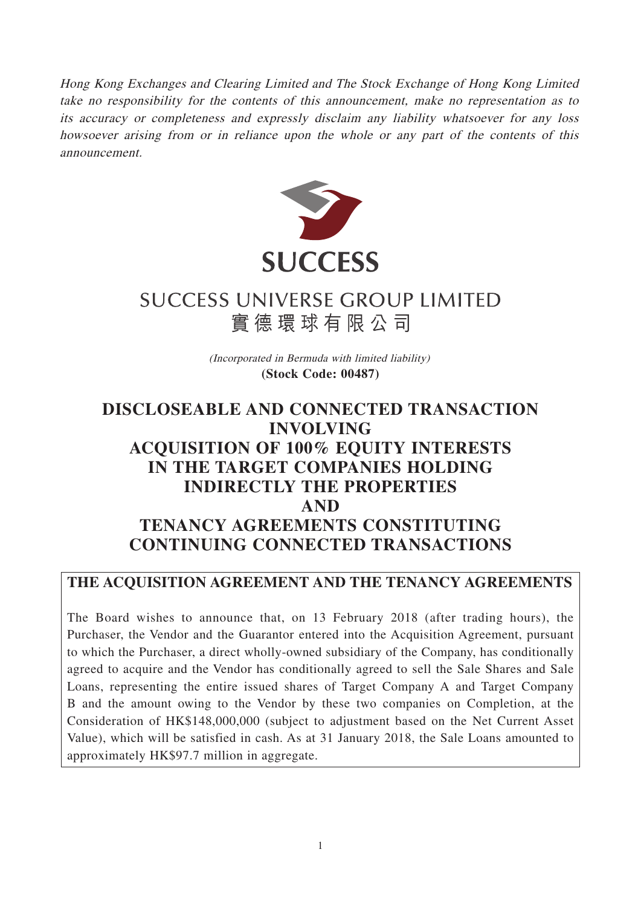Hong Kong Exchanges and Clearing Limited and The Stock Exchange of Hong Kong Limited take no responsibility for the contents of this announcement, make no representation as to its accuracy or completeness and expressly disclaim any liability whatsoever for any loss howsoever arising from or in reliance upon the whole or any part of the contents of this announcement.



# **SUCCESS UNIVERSE GROUP LIMITED** 實德環球有限公司

(Incorporated in Bermuda with limited liability) **(Stock Code: 00487)**

# **DISCLOSEABLE AND CONNECTED TRANSACTION INVOLVING ACQUISITION OF 100% EQUITY INTERESTS IN THE TARGET COMPANIES HOLDING INDIRECTLY THE PROPERTIES AND TENANCY AGREEMENTS CONSTITUTING CONTINUING CONNECTED TRANSACTIONS**

### **THE ACQUISITION AGREEMENT AND THE TENANCY AGREEMENTS**

The Board wishes to announce that, on 13 February 2018 (after trading hours), the Purchaser, the Vendor and the Guarantor entered into the Acquisition Agreement, pursuant to which the Purchaser, a direct wholly-owned subsidiary of the Company, has conditionally agreed to acquire and the Vendor has conditionally agreed to sell the Sale Shares and Sale Loans, representing the entire issued shares of Target Company A and Target Company B and the amount owing to the Vendor by these two companies on Completion, at the Consideration of HK\$148,000,000 (subject to adjustment based on the Net Current Asset Value), which will be satisfied in cash. As at 31 January 2018, the Sale Loans amounted to approximately HK\$97.7 million in aggregate.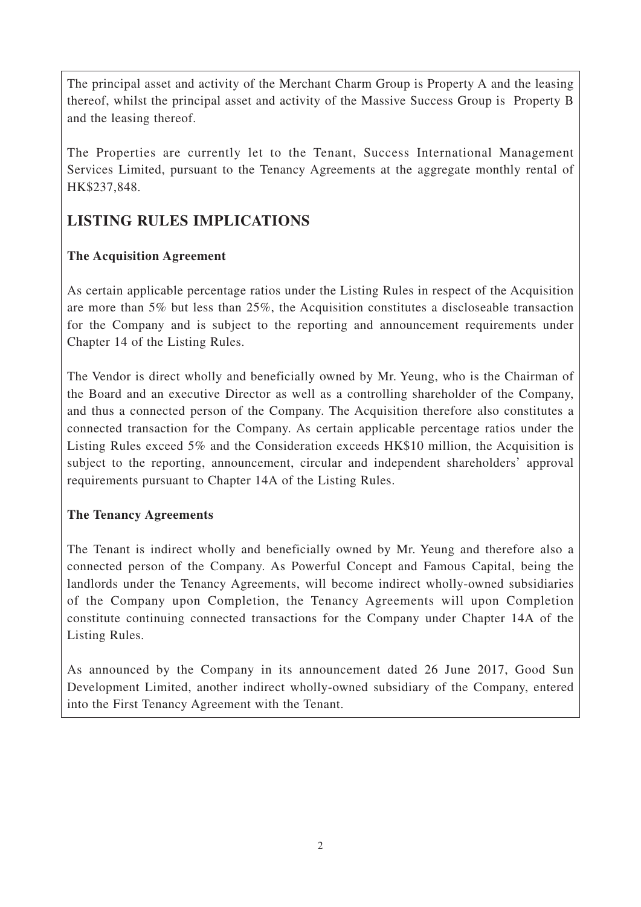The principal asset and activity of the Merchant Charm Group is Property A and the leasing thereof, whilst the principal asset and activity of the Massive Success Group is Property B and the leasing thereof.

The Properties are currently let to the Tenant, Success International Management Services Limited, pursuant to the Tenancy Agreements at the aggregate monthly rental of HK\$237,848.

# **LISTING RULES IMPLICATIONS**

### **The Acquisition Agreement**

As certain applicable percentage ratios under the Listing Rules in respect of the Acquisition are more than 5% but less than 25%, the Acquisition constitutes a discloseable transaction for the Company and is subject to the reporting and announcement requirements under Chapter 14 of the Listing Rules.

The Vendor is direct wholly and beneficially owned by Mr. Yeung, who is the Chairman of the Board and an executive Director as well as a controlling shareholder of the Company, and thus a connected person of the Company. The Acquisition therefore also constitutes a connected transaction for the Company. As certain applicable percentage ratios under the Listing Rules exceed 5% and the Consideration exceeds HK\$10 million, the Acquisition is subject to the reporting, announcement, circular and independent shareholders' approval requirements pursuant to Chapter 14A of the Listing Rules.

### **The Tenancy Agreements**

The Tenant is indirect wholly and beneficially owned by Mr. Yeung and therefore also a connected person of the Company. As Powerful Concept and Famous Capital, being the landlords under the Tenancy Agreements, will become indirect wholly-owned subsidiaries of the Company upon Completion, the Tenancy Agreements will upon Completion constitute continuing connected transactions for the Company under Chapter 14A of the Listing Rules.

As announced by the Company in its announcement dated 26 June 2017, Good Sun Development Limited, another indirect wholly-owned subsidiary of the Company, entered into the First Tenancy Agreement with the Tenant.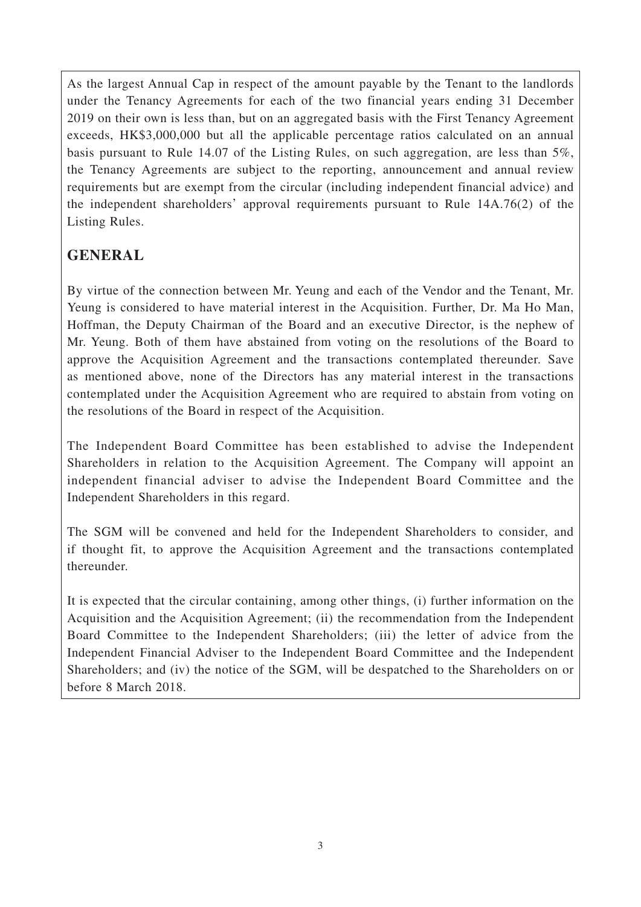As the largest Annual Cap in respect of the amount payable by the Tenant to the landlords under the Tenancy Agreements for each of the two financial years ending 31 December 2019 on their own is less than, but on an aggregated basis with the First Tenancy Agreement exceeds, HK\$3,000,000 but all the applicable percentage ratios calculated on an annual basis pursuant to Rule 14.07 of the Listing Rules, on such aggregation, are less than 5%, the Tenancy Agreements are subject to the reporting, announcement and annual review requirements but are exempt from the circular (including independent financial advice) and the independent shareholders' approval requirements pursuant to Rule 14A.76(2) of the Listing Rules.

# **GENERAL**

By virtue of the connection between Mr. Yeung and each of the Vendor and the Tenant, Mr. Yeung is considered to have material interest in the Acquisition. Further, Dr. Ma Ho Man, Hoffman, the Deputy Chairman of the Board and an executive Director, is the nephew of Mr. Yeung. Both of them have abstained from voting on the resolutions of the Board to approve the Acquisition Agreement and the transactions contemplated thereunder. Save as mentioned above, none of the Directors has any material interest in the transactions contemplated under the Acquisition Agreement who are required to abstain from voting on the resolutions of the Board in respect of the Acquisition.

The Independent Board Committee has been established to advise the Independent Shareholders in relation to the Acquisition Agreement. The Company will appoint an independent financial adviser to advise the Independent Board Committee and the Independent Shareholders in this regard.

The SGM will be convened and held for the Independent Shareholders to consider, and if thought fit, to approve the Acquisition Agreement and the transactions contemplated thereunder.

It is expected that the circular containing, among other things, (i) further information on the Acquisition and the Acquisition Agreement; (ii) the recommendation from the Independent Board Committee to the Independent Shareholders; (iii) the letter of advice from the Independent Financial Adviser to the Independent Board Committee and the Independent Shareholders; and (iv) the notice of the SGM, will be despatched to the Shareholders on or before 8 March 2018.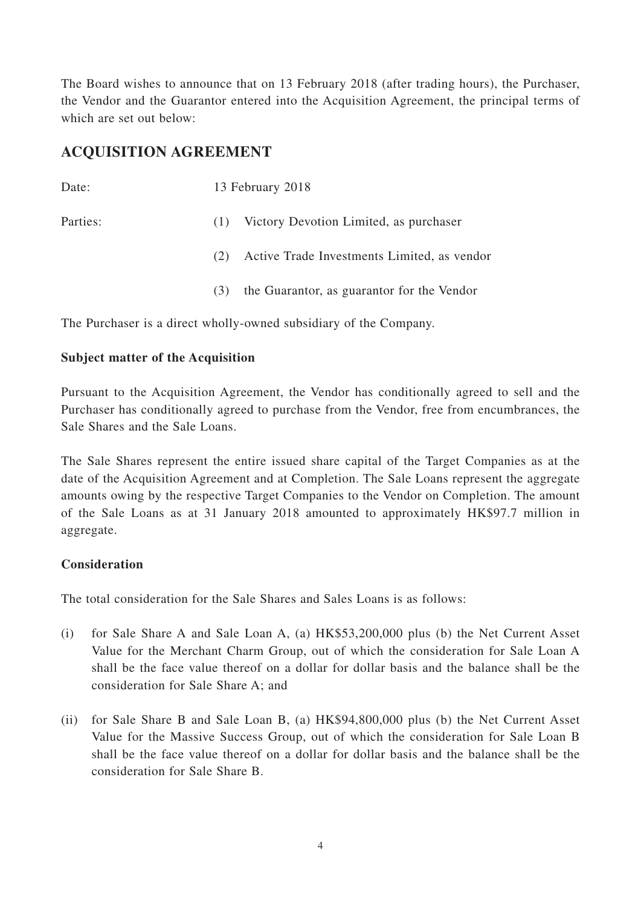The Board wishes to announce that on 13 February 2018 (after trading hours), the Purchaser, the Vendor and the Guarantor entered into the Acquisition Agreement, the principal terms of which are set out below:

### **ACQUISITION AGREEMENT**

| Date:    |     | 13 February 2018                            |  |
|----------|-----|---------------------------------------------|--|
| Parties: | (1) | Victory Devotion Limited, as purchaser      |  |
|          | (2) | Active Trade Investments Limited, as vendor |  |
|          | (3) | the Guarantor, as guarantor for the Vendor  |  |

The Purchaser is a direct wholly-owned subsidiary of the Company.

#### **Subject matter of the Acquisition**

Pursuant to the Acquisition Agreement, the Vendor has conditionally agreed to sell and the Purchaser has conditionally agreed to purchase from the Vendor, free from encumbrances, the Sale Shares and the Sale Loans.

The Sale Shares represent the entire issued share capital of the Target Companies as at the date of the Acquisition Agreement and at Completion. The Sale Loans represent the aggregate amounts owing by the respective Target Companies to the Vendor on Completion. The amount of the Sale Loans as at 31 January 2018 amounted to approximately HK\$97.7 million in aggregate.

### **Consideration**

The total consideration for the Sale Shares and Sales Loans is as follows:

- (i) for Sale Share A and Sale Loan A, (a) HK\$53,200,000 plus (b) the Net Current Asset Value for the Merchant Charm Group, out of which the consideration for Sale Loan A shall be the face value thereof on a dollar for dollar basis and the balance shall be the consideration for Sale Share A; and
- (ii) for Sale Share B and Sale Loan B, (a) HK\$94,800,000 plus (b) the Net Current Asset Value for the Massive Success Group, out of which the consideration for Sale Loan B shall be the face value thereof on a dollar for dollar basis and the balance shall be the consideration for Sale Share B.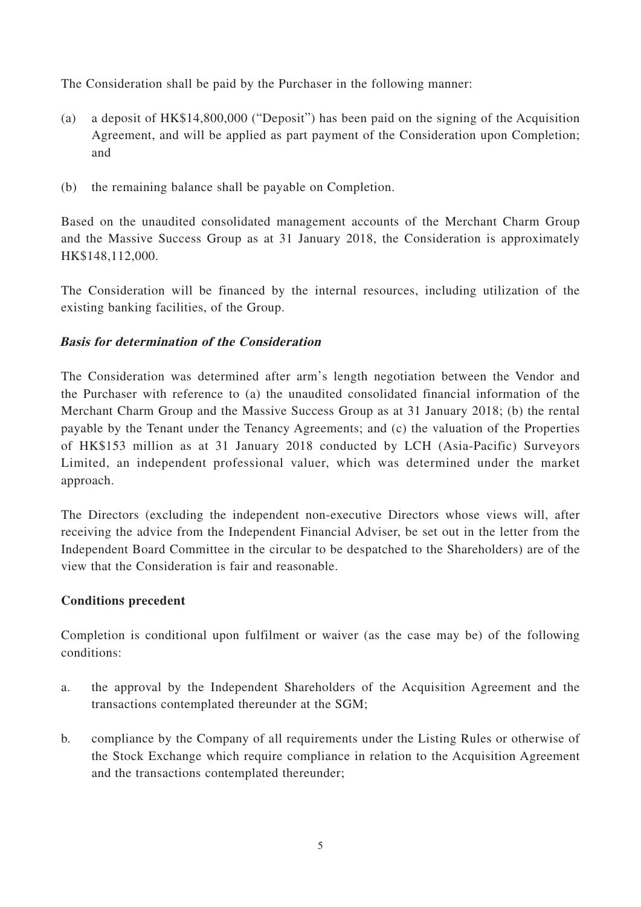The Consideration shall be paid by the Purchaser in the following manner:

- (a) a deposit of HK\$14,800,000 ("Deposit") has been paid on the signing of the Acquisition Agreement, and will be applied as part payment of the Consideration upon Completion; and
- (b) the remaining balance shall be payable on Completion.

Based on the unaudited consolidated management accounts of the Merchant Charm Group and the Massive Success Group as at 31 January 2018, the Consideration is approximately HK\$148,112,000.

The Consideration will be financed by the internal resources, including utilization of the existing banking facilities, of the Group.

### **Basis for determination of the Consideration**

The Consideration was determined after arm's length negotiation between the Vendor and the Purchaser with reference to (a) the unaudited consolidated financial information of the Merchant Charm Group and the Massive Success Group as at 31 January 2018; (b) the rental payable by the Tenant under the Tenancy Agreements; and (c) the valuation of the Properties of HK\$153 million as at 31 January 2018 conducted by LCH (Asia-Pacific) Surveyors Limited, an independent professional valuer, which was determined under the market approach.

The Directors (excluding the independent non-executive Directors whose views will, after receiving the advice from the Independent Financial Adviser, be set out in the letter from the Independent Board Committee in the circular to be despatched to the Shareholders) are of the view that the Consideration is fair and reasonable.

### **Conditions precedent**

Completion is conditional upon fulfilment or waiver (as the case may be) of the following conditions:

- a. the approval by the Independent Shareholders of the Acquisition Agreement and the transactions contemplated thereunder at the SGM;
- b. compliance by the Company of all requirements under the Listing Rules or otherwise of the Stock Exchange which require compliance in relation to the Acquisition Agreement and the transactions contemplated thereunder;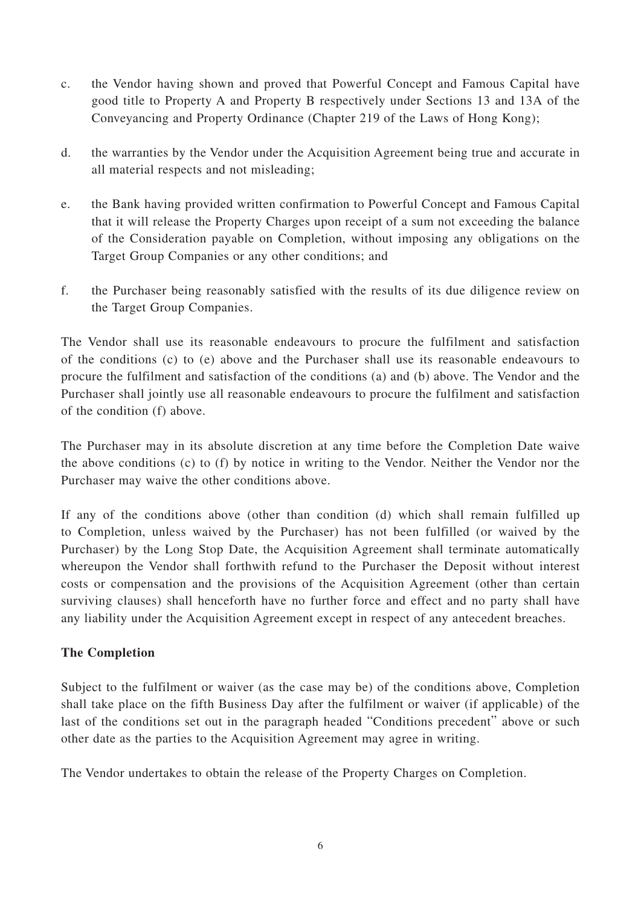- c. the Vendor having shown and proved that Powerful Concept and Famous Capital have good title to Property A and Property B respectively under Sections 13 and 13A of the Conveyancing and Property Ordinance (Chapter 219 of the Laws of Hong Kong);
- d. the warranties by the Vendor under the Acquisition Agreement being true and accurate in all material respects and not misleading;
- e. the Bank having provided written confirmation to Powerful Concept and Famous Capital that it will release the Property Charges upon receipt of a sum not exceeding the balance of the Consideration payable on Completion, without imposing any obligations on the Target Group Companies or any other conditions; and
- f. the Purchaser being reasonably satisfied with the results of its due diligence review on the Target Group Companies.

The Vendor shall use its reasonable endeavours to procure the fulfilment and satisfaction of the conditions (c) to (e) above and the Purchaser shall use its reasonable endeavours to procure the fulfilment and satisfaction of the conditions (a) and (b) above. The Vendor and the Purchaser shall jointly use all reasonable endeavours to procure the fulfilment and satisfaction of the condition (f) above.

The Purchaser may in its absolute discretion at any time before the Completion Date waive the above conditions (c) to (f) by notice in writing to the Vendor. Neither the Vendor nor the Purchaser may waive the other conditions above.

If any of the conditions above (other than condition (d) which shall remain fulfilled up to Completion, unless waived by the Purchaser) has not been fulfilled (or waived by the Purchaser) by the Long Stop Date, the Acquisition Agreement shall terminate automatically whereupon the Vendor shall forthwith refund to the Purchaser the Deposit without interest costs or compensation and the provisions of the Acquisition Agreement (other than certain surviving clauses) shall henceforth have no further force and effect and no party shall have any liability under the Acquisition Agreement except in respect of any antecedent breaches.

### **The Completion**

Subject to the fulfilment or waiver (as the case may be) of the conditions above, Completion shall take place on the fifth Business Day after the fulfilment or waiver (if applicable) of the last of the conditions set out in the paragraph headed "Conditions precedent" above or such other date as the parties to the Acquisition Agreement may agree in writing.

The Vendor undertakes to obtain the release of the Property Charges on Completion.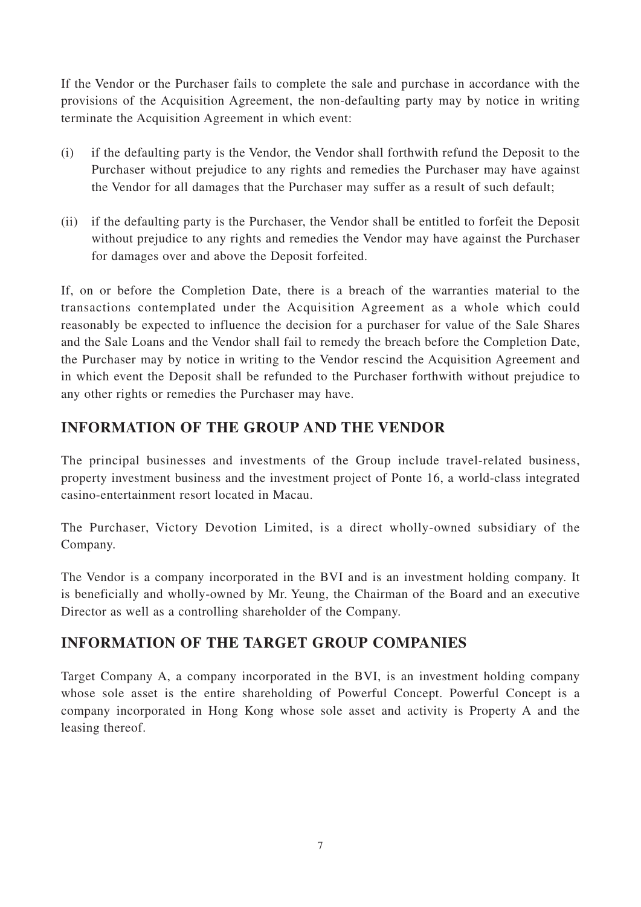If the Vendor or the Purchaser fails to complete the sale and purchase in accordance with the provisions of the Acquisition Agreement, the non-defaulting party may by notice in writing terminate the Acquisition Agreement in which event:

- (i) if the defaulting party is the Vendor, the Vendor shall forthwith refund the Deposit to the Purchaser without prejudice to any rights and remedies the Purchaser may have against the Vendor for all damages that the Purchaser may suffer as a result of such default;
- (ii) if the defaulting party is the Purchaser, the Vendor shall be entitled to forfeit the Deposit without prejudice to any rights and remedies the Vendor may have against the Purchaser for damages over and above the Deposit forfeited.

If, on or before the Completion Date, there is a breach of the warranties material to the transactions contemplated under the Acquisition Agreement as a whole which could reasonably be expected to influence the decision for a purchaser for value of the Sale Shares and the Sale Loans and the Vendor shall fail to remedy the breach before the Completion Date, the Purchaser may by notice in writing to the Vendor rescind the Acquisition Agreement and in which event the Deposit shall be refunded to the Purchaser forthwith without prejudice to any other rights or remedies the Purchaser may have.

### **INFORMATION OF THE GROUP AND THE VENDOR**

The principal businesses and investments of the Group include travel-related business, property investment business and the investment project of Ponte 16, a world-class integrated casino-entertainment resort located in Macau.

The Purchaser, Victory Devotion Limited, is a direct wholly-owned subsidiary of the Company.

The Vendor is a company incorporated in the BVI and is an investment holding company. It is beneficially and wholly-owned by Mr. Yeung, the Chairman of the Board and an executive Director as well as a controlling shareholder of the Company.

### **INFORMATION OF THE TARGET GROUP COMPANIES**

Target Company A, a company incorporated in the BVI, is an investment holding company whose sole asset is the entire shareholding of Powerful Concept. Powerful Concept is a company incorporated in Hong Kong whose sole asset and activity is Property A and the leasing thereof.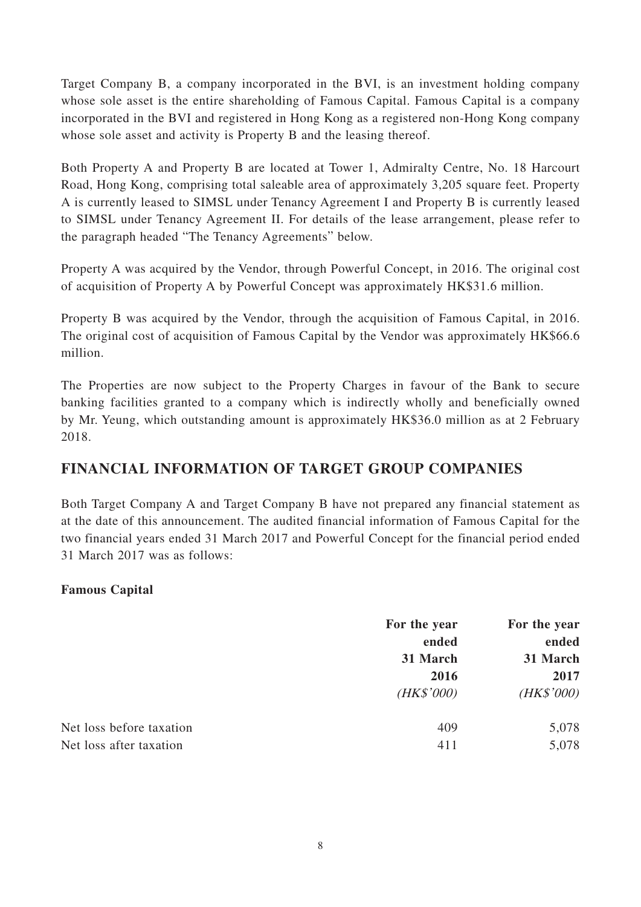Target Company B, a company incorporated in the BVI, is an investment holding company whose sole asset is the entire shareholding of Famous Capital. Famous Capital is a company incorporated in the BVI and registered in Hong Kong as a registered non-Hong Kong company whose sole asset and activity is Property B and the leasing thereof.

Both Property A and Property B are located at Tower 1, Admiralty Centre, No. 18 Harcourt Road, Hong Kong, comprising total saleable area of approximately 3,205 square feet. Property A is currently leased to SIMSL under Tenancy Agreement I and Property B is currently leased to SIMSL under Tenancy Agreement II. For details of the lease arrangement, please refer to the paragraph headed "The Tenancy Agreements" below.

Property A was acquired by the Vendor, through Powerful Concept, in 2016. The original cost of acquisition of Property A by Powerful Concept was approximately HK\$31.6 million.

Property B was acquired by the Vendor, through the acquisition of Famous Capital, in 2016. The original cost of acquisition of Famous Capital by the Vendor was approximately HK\$66.6 million.

The Properties are now subject to the Property Charges in favour of the Bank to secure banking facilities granted to a company which is indirectly wholly and beneficially owned by Mr. Yeung, which outstanding amount is approximately HK\$36.0 million as at 2 February 2018.

### **FINANCIAL INFORMATION OF TARGET GROUP COMPANIES**

Both Target Company A and Target Company B have not prepared any financial statement as at the date of this announcement. The audited financial information of Famous Capital for the two financial years ended 31 March 2017 and Powerful Concept for the financial period ended 31 March 2017 was as follows:

### **Famous Capital**

|                          | For the year                            | For the year                            |
|--------------------------|-----------------------------------------|-----------------------------------------|
|                          | ended<br>31 March<br>2016<br>(HK\$'000) | ended<br>31 March<br>2017<br>(HK\$'000) |
|                          |                                         |                                         |
|                          |                                         |                                         |
|                          |                                         |                                         |
| Net loss before taxation | 409                                     | 5,078                                   |
| Net loss after taxation  | 411                                     | 5,078                                   |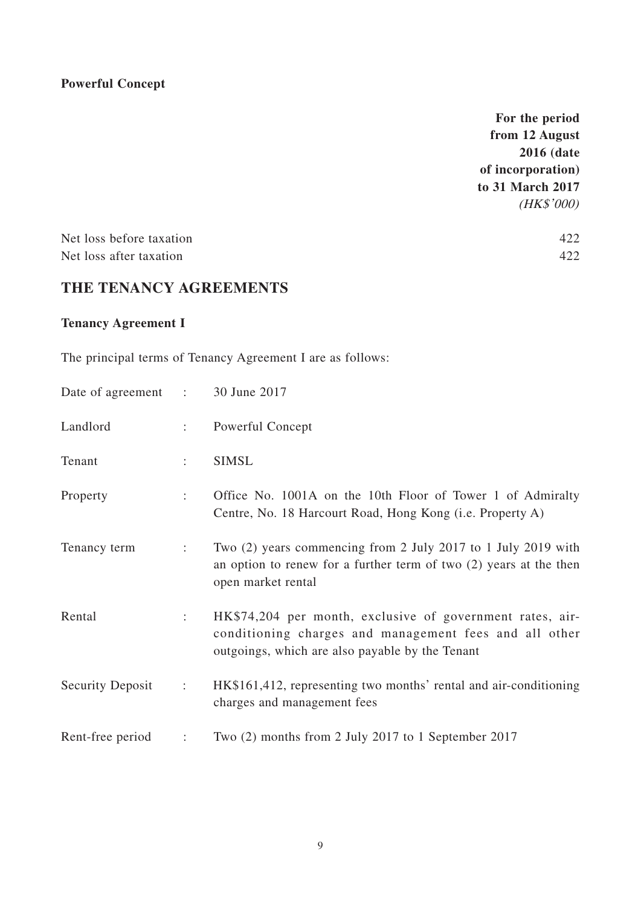### **Powerful Concept**

**For the period from 12 August 2016 (date of incorporation) to 31 March 2017** (HK\$'000)

| Net loss before taxation |     |
|--------------------------|-----|
| Net loss after taxation  | 422 |

### **THE TENANCY AGREEMENTS**

#### **Tenancy Agreement I**

The principal terms of Tenancy Agreement I are as follows:

| Date of agreement :     |   | 30 June 2017                                                                                                                                                           |
|-------------------------|---|------------------------------------------------------------------------------------------------------------------------------------------------------------------------|
| Landlord                |   | Powerful Concept                                                                                                                                                       |
| Tenant                  | ÷ | <b>SIMSL</b>                                                                                                                                                           |
| Property                | ÷ | Office No. 1001A on the 10th Floor of Tower 1 of Admiralty<br>Centre, No. 18 Harcourt Road, Hong Kong (i.e. Property A)                                                |
| Tenancy term            | ÷ | Two (2) years commencing from 2 July 2017 to 1 July 2019 with<br>an option to renew for a further term of two $(2)$ years at the then<br>open market rental            |
| Rental                  |   | HK\$74,204 per month, exclusive of government rates, air-<br>conditioning charges and management fees and all other<br>outgoings, which are also payable by the Tenant |
| <b>Security Deposit</b> | ÷ | HK\$161,412, representing two months' rental and air-conditioning<br>charges and management fees                                                                       |
| Rent-free period        | ÷ | Two (2) months from 2 July 2017 to 1 September 2017                                                                                                                    |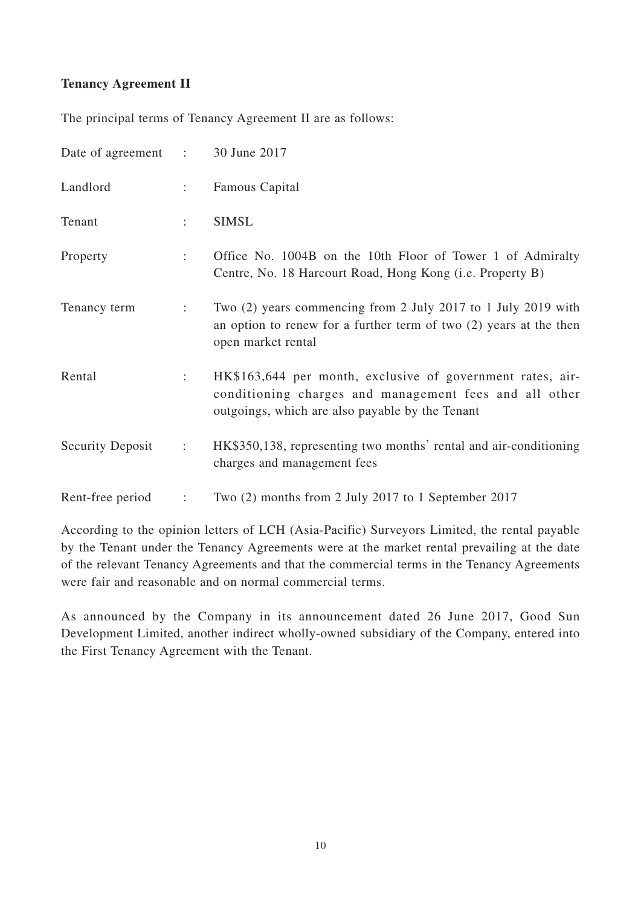#### **Tenancy Agreement II**

The principal terms of Tenancy Agreement II are as follows:

| Date of agreement :     |                      | 30 June 2017                                                                                                                                                            |
|-------------------------|----------------------|-------------------------------------------------------------------------------------------------------------------------------------------------------------------------|
| Landlord                | $\ddot{\phantom{a}}$ | Famous Capital                                                                                                                                                          |
| Tenant                  | ÷                    | <b>SIMSL</b>                                                                                                                                                            |
| Property                | ÷                    | Office No. 1004B on the 10th Floor of Tower 1 of Admiralty<br>Centre, No. 18 Harcourt Road, Hong Kong (i.e. Property B)                                                 |
| Tenancy term            | ÷                    | Two (2) years commencing from 2 July 2017 to 1 July 2019 with<br>an option to renew for a further term of two $(2)$ years at the then<br>open market rental             |
| Rental                  |                      | HK\$163,644 per month, exclusive of government rates, air-<br>conditioning charges and management fees and all other<br>outgoings, which are also payable by the Tenant |
| <b>Security Deposit</b> | $\mathbb{C}$         | HK\$350,138, representing two months' rental and air-conditioning<br>charges and management fees                                                                        |
| Rent-free period        |                      | Two (2) months from 2 July 2017 to 1 September 2017                                                                                                                     |

According to the opinion letters of LCH (Asia-Pacific) Surveyors Limited, the rental payable by the Tenant under the Tenancy Agreements were at the market rental prevailing at the date of the relevant Tenancy Agreements and that the commercial terms in the Tenancy Agreements were fair and reasonable and on normal commercial terms.

As announced by the Company in its announcement dated 26 June 2017, Good Sun Development Limited, another indirect wholly-owned subsidiary of the Company, entered into the First Tenancy Agreement with the Tenant.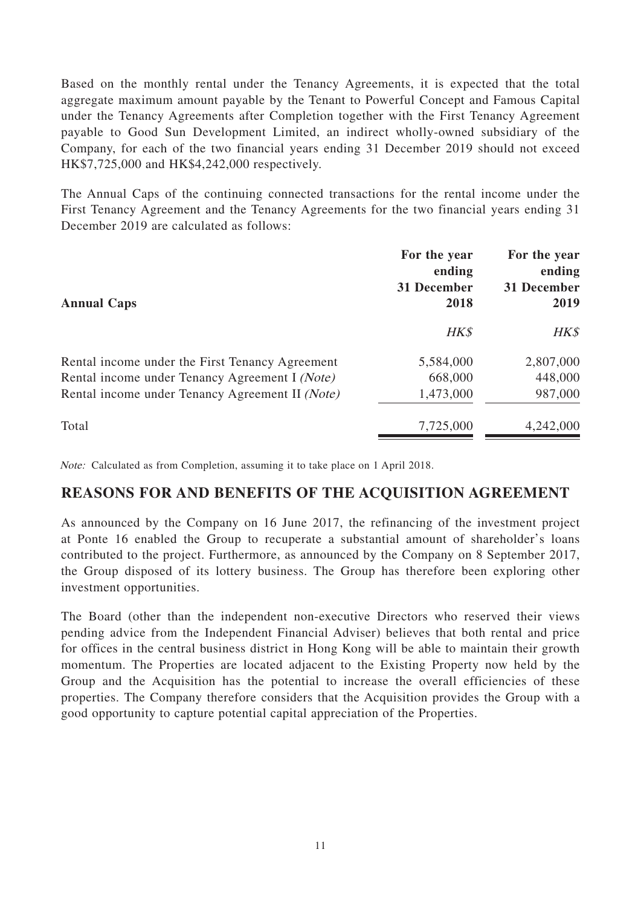Based on the monthly rental under the Tenancy Agreements, it is expected that the total aggregate maximum amount payable by the Tenant to Powerful Concept and Famous Capital under the Tenancy Agreements after Completion together with the First Tenancy Agreement payable to Good Sun Development Limited, an indirect wholly-owned subsidiary of the Company, for each of the two financial years ending 31 December 2019 should not exceed HK\$7,725,000 and HK\$4,242,000 respectively.

The Annual Caps of the continuing connected transactions for the rental income under the First Tenancy Agreement and the Tenancy Agreements for the two financial years ending 31 December 2019 are calculated as follows:

| <b>Annual Caps</b>                              | For the year<br>ending<br>31 December<br>2018 | For the year<br>ending<br>31 December<br>2019 |
|-------------------------------------------------|-----------------------------------------------|-----------------------------------------------|
|                                                 | HK\$                                          | HK\$                                          |
| Rental income under the First Tenancy Agreement | 5,584,000                                     | 2,807,000                                     |
| Rental income under Tenancy Agreement I (Note)  | 668,000                                       | 448,000                                       |
| Rental income under Tenancy Agreement II (Note) | 1,473,000                                     | 987,000                                       |
| Total                                           | 7,725,000                                     | 4,242,000                                     |

Note: Calculated as from Completion, assuming it to take place on 1 April 2018.

### **REASONS FOR AND BENEFITS OF THE ACQUISITION AGREEMENT**

As announced by the Company on 16 June 2017, the refinancing of the investment project at Ponte 16 enabled the Group to recuperate a substantial amount of shareholder's loans contributed to the project. Furthermore, as announced by the Company on 8 September 2017, the Group disposed of its lottery business. The Group has therefore been exploring other investment opportunities.

The Board (other than the independent non-executive Directors who reserved their views pending advice from the Independent Financial Adviser) believes that both rental and price for offices in the central business district in Hong Kong will be able to maintain their growth momentum. The Properties are located adjacent to the Existing Property now held by the Group and the Acquisition has the potential to increase the overall efficiencies of these properties. The Company therefore considers that the Acquisition provides the Group with a good opportunity to capture potential capital appreciation of the Properties.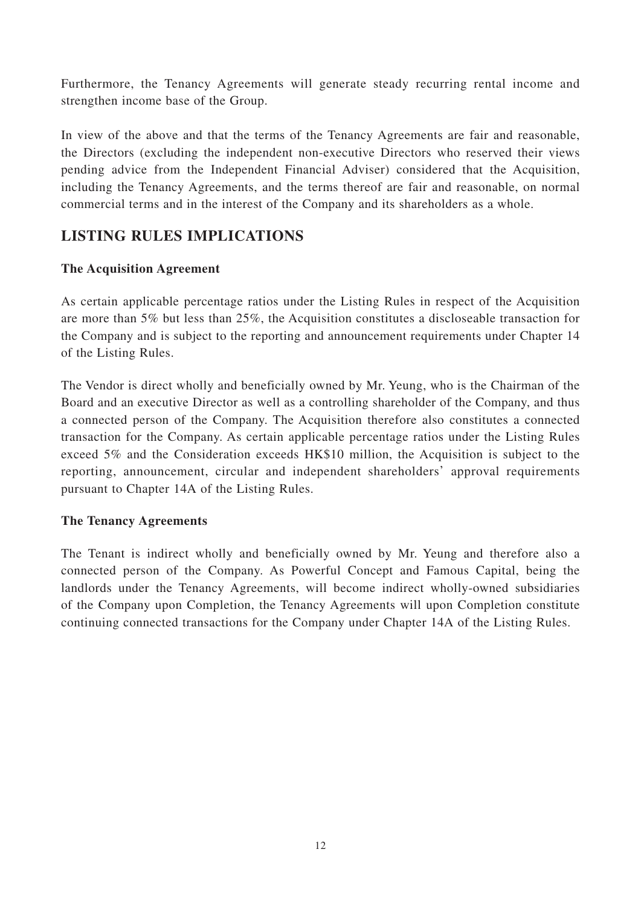Furthermore, the Tenancy Agreements will generate steady recurring rental income and strengthen income base of the Group.

In view of the above and that the terms of the Tenancy Agreements are fair and reasonable, the Directors (excluding the independent non-executive Directors who reserved their views pending advice from the Independent Financial Adviser) considered that the Acquisition, including the Tenancy Agreements, and the terms thereof are fair and reasonable, on normal commercial terms and in the interest of the Company and its shareholders as a whole.

### **LISTING RULES IMPLICATIONS**

#### **The Acquisition Agreement**

As certain applicable percentage ratios under the Listing Rules in respect of the Acquisition are more than 5% but less than 25%, the Acquisition constitutes a discloseable transaction for the Company and is subject to the reporting and announcement requirements under Chapter 14 of the Listing Rules.

The Vendor is direct wholly and beneficially owned by Mr. Yeung, who is the Chairman of the Board and an executive Director as well as a controlling shareholder of the Company, and thus a connected person of the Company. The Acquisition therefore also constitutes a connected transaction for the Company. As certain applicable percentage ratios under the Listing Rules exceed 5% and the Consideration exceeds HK\$10 million, the Acquisition is subject to the reporting, announcement, circular and independent shareholders' approval requirements pursuant to Chapter 14A of the Listing Rules.

#### **The Tenancy Agreements**

The Tenant is indirect wholly and beneficially owned by Mr. Yeung and therefore also a connected person of the Company. As Powerful Concept and Famous Capital, being the landlords under the Tenancy Agreements, will become indirect wholly-owned subsidiaries of the Company upon Completion, the Tenancy Agreements will upon Completion constitute continuing connected transactions for the Company under Chapter 14A of the Listing Rules.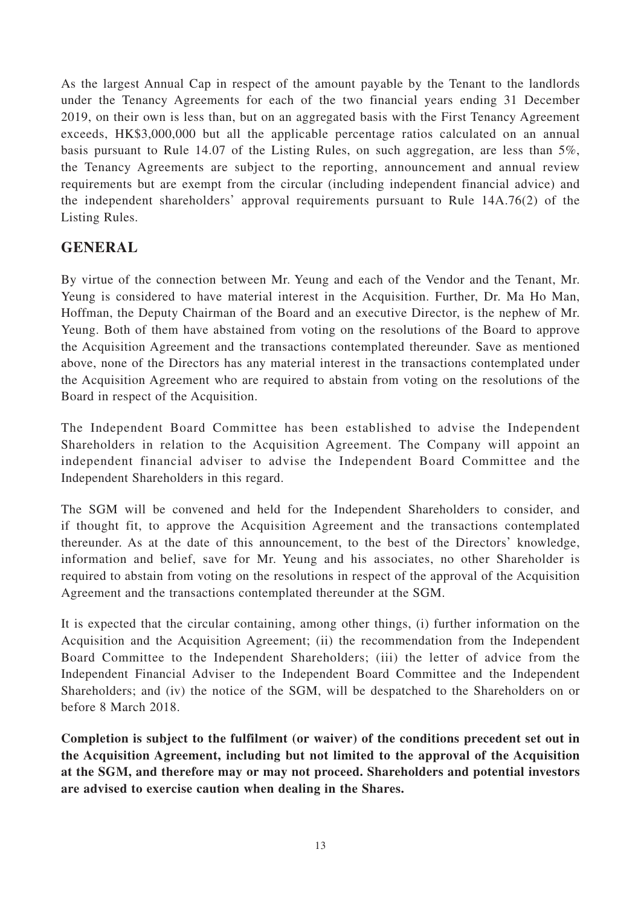As the largest Annual Cap in respect of the amount payable by the Tenant to the landlords under the Tenancy Agreements for each of the two financial years ending 31 December 2019, on their own is less than, but on an aggregated basis with the First Tenancy Agreement exceeds, HK\$3,000,000 but all the applicable percentage ratios calculated on an annual basis pursuant to Rule 14.07 of the Listing Rules, on such aggregation, are less than 5%, the Tenancy Agreements are subject to the reporting, announcement and annual review requirements but are exempt from the circular (including independent financial advice) and the independent shareholders' approval requirements pursuant to Rule 14A.76(2) of the Listing Rules.

### **GENERAL**

By virtue of the connection between Mr. Yeung and each of the Vendor and the Tenant, Mr. Yeung is considered to have material interest in the Acquisition. Further, Dr. Ma Ho Man, Hoffman, the Deputy Chairman of the Board and an executive Director, is the nephew of Mr. Yeung. Both of them have abstained from voting on the resolutions of the Board to approve the Acquisition Agreement and the transactions contemplated thereunder. Save as mentioned above, none of the Directors has any material interest in the transactions contemplated under the Acquisition Agreement who are required to abstain from voting on the resolutions of the Board in respect of the Acquisition.

The Independent Board Committee has been established to advise the Independent Shareholders in relation to the Acquisition Agreement. The Company will appoint an independent financial adviser to advise the Independent Board Committee and the Independent Shareholders in this regard.

The SGM will be convened and held for the Independent Shareholders to consider, and if thought fit, to approve the Acquisition Agreement and the transactions contemplated thereunder. As at the date of this announcement, to the best of the Directors' knowledge, information and belief, save for Mr. Yeung and his associates, no other Shareholder is required to abstain from voting on the resolutions in respect of the approval of the Acquisition Agreement and the transactions contemplated thereunder at the SGM.

It is expected that the circular containing, among other things, (i) further information on the Acquisition and the Acquisition Agreement; (ii) the recommendation from the Independent Board Committee to the Independent Shareholders; (iii) the letter of advice from the Independent Financial Adviser to the Independent Board Committee and the Independent Shareholders; and (iv) the notice of the SGM, will be despatched to the Shareholders on or before 8 March 2018.

**Completion is subject to the fulfilment (or waiver) of the conditions precedent set out in the Acquisition Agreement, including but not limited to the approval of the Acquisition at the SGM, and therefore may or may not proceed. Shareholders and potential investors are advised to exercise caution when dealing in the Shares.**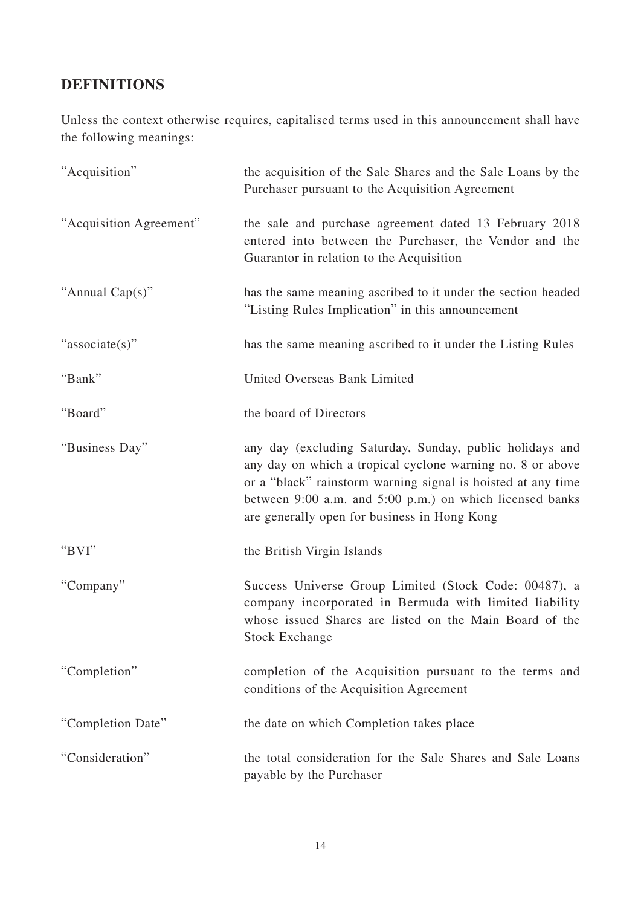# **DEFINITIONS**

Unless the context otherwise requires, capitalised terms used in this announcement shall have the following meanings:

| "Acquisition"           | the acquisition of the Sale Shares and the Sale Loans by the<br>Purchaser pursuant to the Acquisition Agreement                                                                                                                                                                                    |
|-------------------------|----------------------------------------------------------------------------------------------------------------------------------------------------------------------------------------------------------------------------------------------------------------------------------------------------|
| "Acquisition Agreement" | the sale and purchase agreement dated 13 February 2018<br>entered into between the Purchaser, the Vendor and the<br>Guarantor in relation to the Acquisition                                                                                                                                       |
| "Annual Cap(s)"         | has the same meaning ascribed to it under the section headed<br>"Listing Rules Implication" in this announcement                                                                                                                                                                                   |
| "associate(s)"          | has the same meaning ascribed to it under the Listing Rules                                                                                                                                                                                                                                        |
| "Bank"                  | United Overseas Bank Limited                                                                                                                                                                                                                                                                       |
| "Board"                 | the board of Directors                                                                                                                                                                                                                                                                             |
| "Business Day"          | any day (excluding Saturday, Sunday, public holidays and<br>any day on which a tropical cyclone warning no. 8 or above<br>or a "black" rainstorm warning signal is hoisted at any time<br>between 9:00 a.m. and 5:00 p.m.) on which licensed banks<br>are generally open for business in Hong Kong |
| " $BVI"$                | the British Virgin Islands                                                                                                                                                                                                                                                                         |
| "Company"               | Success Universe Group Limited (Stock Code: 00487), a<br>company incorporated in Bermuda with limited liability<br>whose issued Shares are listed on the Main Board of the<br><b>Stock Exchange</b>                                                                                                |
| "Completion"            | completion of the Acquisition pursuant to the terms and<br>conditions of the Acquisition Agreement                                                                                                                                                                                                 |
| "Completion Date"       | the date on which Completion takes place                                                                                                                                                                                                                                                           |
| "Consideration"         | the total consideration for the Sale Shares and Sale Loans<br>payable by the Purchaser                                                                                                                                                                                                             |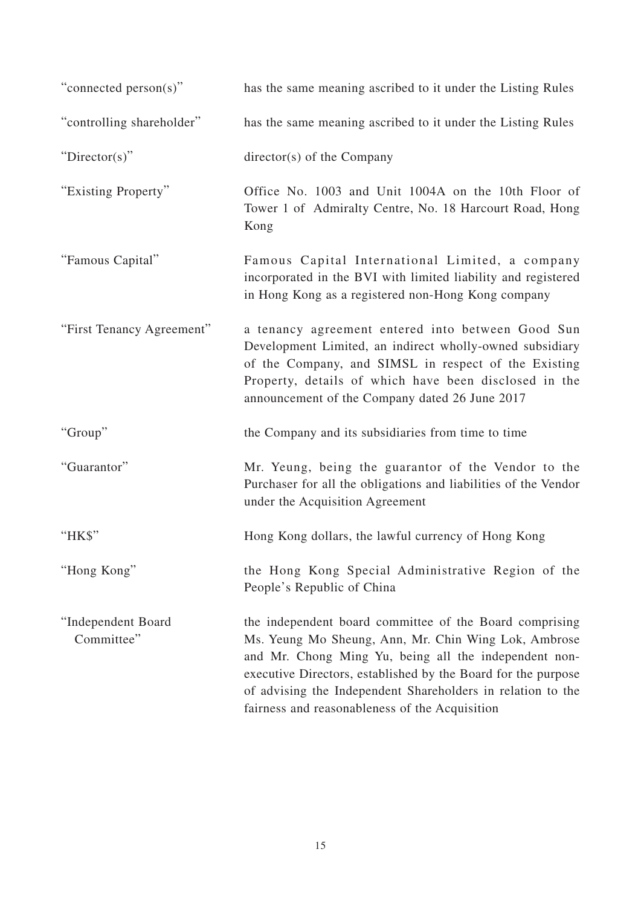| "connected person(s)"            | has the same meaning ascribed to it under the Listing Rules                                                                                                                                                                                                                                                                                                |
|----------------------------------|------------------------------------------------------------------------------------------------------------------------------------------------------------------------------------------------------------------------------------------------------------------------------------------------------------------------------------------------------------|
| "controlling shareholder"        | has the same meaning ascribed to it under the Listing Rules                                                                                                                                                                                                                                                                                                |
| " $Directory$ "                  | director(s) of the Company                                                                                                                                                                                                                                                                                                                                 |
| "Existing Property"              | Office No. 1003 and Unit 1004A on the 10th Floor of<br>Tower 1 of Admiralty Centre, No. 18 Harcourt Road, Hong<br>Kong                                                                                                                                                                                                                                     |
| "Famous Capital"                 | Famous Capital International Limited, a company<br>incorporated in the BVI with limited liability and registered<br>in Hong Kong as a registered non-Hong Kong company                                                                                                                                                                                     |
| "First Tenancy Agreement"        | a tenancy agreement entered into between Good Sun<br>Development Limited, an indirect wholly-owned subsidiary<br>of the Company, and SIMSL in respect of the Existing<br>Property, details of which have been disclosed in the<br>announcement of the Company dated 26 June 2017                                                                           |
| "Group"                          | the Company and its subsidiaries from time to time                                                                                                                                                                                                                                                                                                         |
| "Guarantor"                      | Mr. Yeung, being the guarantor of the Vendor to the<br>Purchaser for all the obligations and liabilities of the Vendor<br>under the Acquisition Agreement                                                                                                                                                                                                  |
| "HK\$"                           | Hong Kong dollars, the lawful currency of Hong Kong                                                                                                                                                                                                                                                                                                        |
| "Hong Kong"                      | the Hong Kong Special Administrative Region of the<br>People's Republic of China                                                                                                                                                                                                                                                                           |
| "Independent Board<br>Committee" | the independent board committee of the Board comprising<br>Ms. Yeung Mo Sheung, Ann, Mr. Chin Wing Lok, Ambrose<br>and Mr. Chong Ming Yu, being all the independent non-<br>executive Directors, established by the Board for the purpose<br>of advising the Independent Shareholders in relation to the<br>fairness and reasonableness of the Acquisition |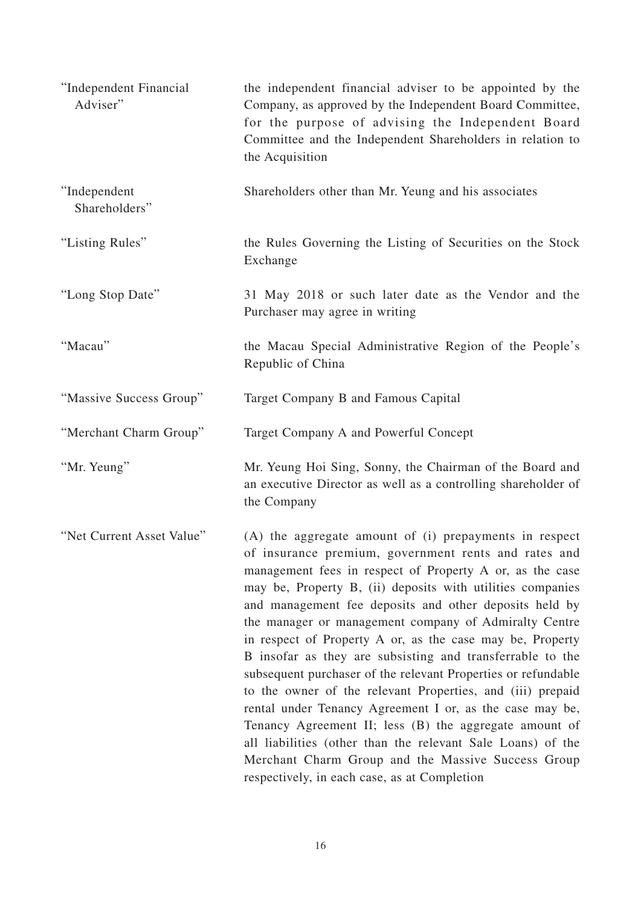| "Independent Financial<br>Adviser" | the independent financial adviser to be appointed by the<br>Company, as approved by the Independent Board Committee,<br>for the purpose of advising the Independent Board<br>Committee and the Independent Shareholders in relation to<br>the Acquisition                                                                                                                                                                                                                                                                                                                                                                                                                                                                                                                                                                                                                                                       |
|------------------------------------|-----------------------------------------------------------------------------------------------------------------------------------------------------------------------------------------------------------------------------------------------------------------------------------------------------------------------------------------------------------------------------------------------------------------------------------------------------------------------------------------------------------------------------------------------------------------------------------------------------------------------------------------------------------------------------------------------------------------------------------------------------------------------------------------------------------------------------------------------------------------------------------------------------------------|
| "Independent<br>Shareholders"      | Shareholders other than Mr. Yeung and his associates                                                                                                                                                                                                                                                                                                                                                                                                                                                                                                                                                                                                                                                                                                                                                                                                                                                            |
| "Listing Rules"                    | the Rules Governing the Listing of Securities on the Stock<br>Exchange                                                                                                                                                                                                                                                                                                                                                                                                                                                                                                                                                                                                                                                                                                                                                                                                                                          |
| "Long Stop Date"                   | 31 May 2018 or such later date as the Vendor and the<br>Purchaser may agree in writing                                                                                                                                                                                                                                                                                                                                                                                                                                                                                                                                                                                                                                                                                                                                                                                                                          |
| "Macau"                            | the Macau Special Administrative Region of the People's<br>Republic of China                                                                                                                                                                                                                                                                                                                                                                                                                                                                                                                                                                                                                                                                                                                                                                                                                                    |
| "Massive Success Group"            | Target Company B and Famous Capital                                                                                                                                                                                                                                                                                                                                                                                                                                                                                                                                                                                                                                                                                                                                                                                                                                                                             |
| "Merchant Charm Group"             | Target Company A and Powerful Concept                                                                                                                                                                                                                                                                                                                                                                                                                                                                                                                                                                                                                                                                                                                                                                                                                                                                           |
| "Mr. Yeung"                        | Mr. Yeung Hoi Sing, Sonny, the Chairman of the Board and<br>an executive Director as well as a controlling shareholder of<br>the Company                                                                                                                                                                                                                                                                                                                                                                                                                                                                                                                                                                                                                                                                                                                                                                        |
| "Net Current Asset Value"          | (A) the aggregate amount of (i) prepayments in respect<br>of insurance premium, government rents and rates and<br>management fees in respect of Property A or, as the case<br>may be, Property B, (ii) deposits with utilities companies<br>and management fee deposits and other deposits held by<br>the manager or management company of Admiralty Centre<br>in respect of Property A or, as the case may be, Property<br>B insofar as they are subsisting and transferrable to the<br>subsequent purchaser of the relevant Properties or refundable<br>to the owner of the relevant Properties, and (iii) prepaid<br>rental under Tenancy Agreement I or, as the case may be,<br>Tenancy Agreement II; less (B) the aggregate amount of<br>all liabilities (other than the relevant Sale Loans) of the<br>Merchant Charm Group and the Massive Success Group<br>respectively, in each case, as at Completion |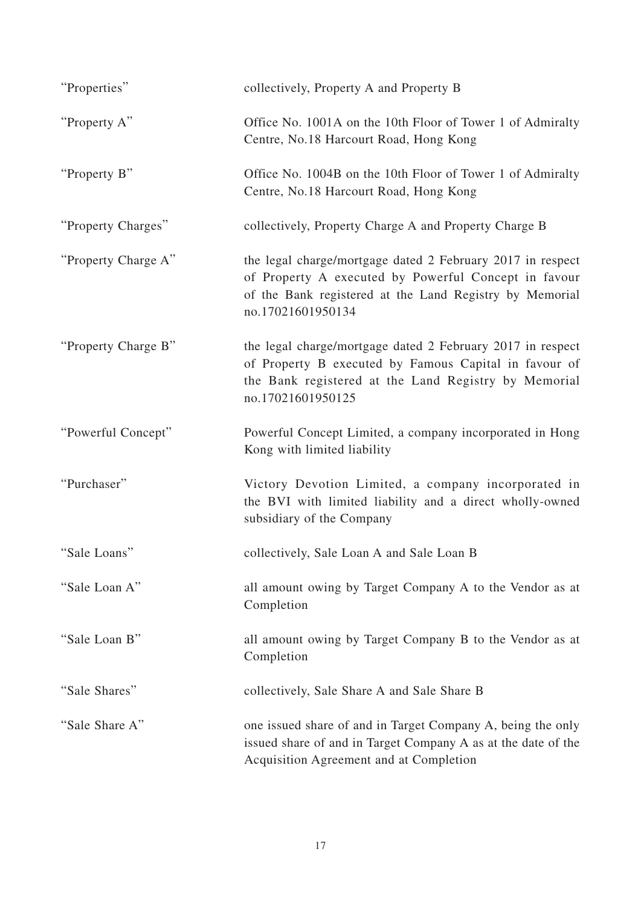| "Properties"        | collectively, Property A and Property B                                                                                                                                                            |
|---------------------|----------------------------------------------------------------------------------------------------------------------------------------------------------------------------------------------------|
| "Property A"        | Office No. 1001A on the 10th Floor of Tower 1 of Admiralty<br>Centre, No.18 Harcourt Road, Hong Kong                                                                                               |
| "Property B"        | Office No. 1004B on the 10th Floor of Tower 1 of Admiralty<br>Centre, No.18 Harcourt Road, Hong Kong                                                                                               |
| "Property Charges"  | collectively, Property Charge A and Property Charge B                                                                                                                                              |
| "Property Charge A" | the legal charge/mortgage dated 2 February 2017 in respect<br>of Property A executed by Powerful Concept in favour<br>of the Bank registered at the Land Registry by Memorial<br>no.17021601950134 |
| "Property Charge B" | the legal charge/mortgage dated 2 February 2017 in respect<br>of Property B executed by Famous Capital in favour of<br>the Bank registered at the Land Registry by Memorial<br>no.17021601950125   |
| "Powerful Concept"  | Powerful Concept Limited, a company incorporated in Hong<br>Kong with limited liability                                                                                                            |
| "Purchaser"         | Victory Devotion Limited, a company incorporated in<br>the BVI with limited liability and a direct wholly-owned<br>subsidiary of the Company                                                       |
| "Sale Loans"        | collectively, Sale Loan A and Sale Loan B                                                                                                                                                          |
| "Sale Loan A"       | all amount owing by Target Company A to the Vendor as at<br>Completion                                                                                                                             |
| "Sale Loan B"       | all amount owing by Target Company B to the Vendor as at<br>Completion                                                                                                                             |
| "Sale Shares"       | collectively, Sale Share A and Sale Share B                                                                                                                                                        |
| "Sale Share A"      | one issued share of and in Target Company A, being the only<br>issued share of and in Target Company A as at the date of the<br>Acquisition Agreement and at Completion                            |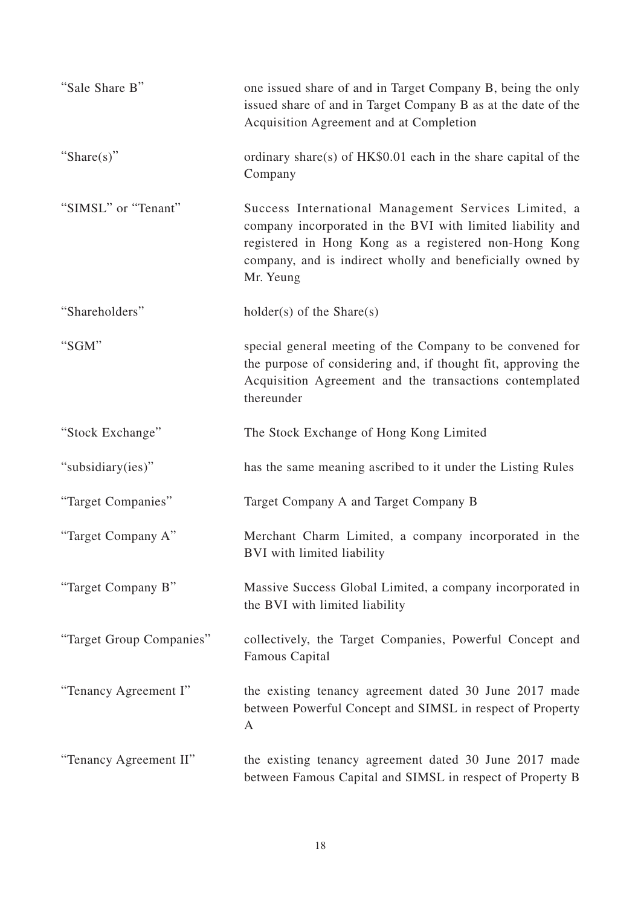| "Sale Share B"           | one issued share of and in Target Company B, being the only<br>issued share of and in Target Company B as at the date of the<br>Acquisition Agreement and at Completion                                                                               |
|--------------------------|-------------------------------------------------------------------------------------------------------------------------------------------------------------------------------------------------------------------------------------------------------|
| "Share $(s)$ "           | ordinary share(s) of HK\$0.01 each in the share capital of the<br>Company                                                                                                                                                                             |
| "SIMSL" or "Tenant"      | Success International Management Services Limited, a<br>company incorporated in the BVI with limited liability and<br>registered in Hong Kong as a registered non-Hong Kong<br>company, and is indirect wholly and beneficially owned by<br>Mr. Yeung |
| "Shareholders"           | $holder(s)$ of the Share $(s)$                                                                                                                                                                                                                        |
| "SGM"                    | special general meeting of the Company to be convened for<br>the purpose of considering and, if thought fit, approving the<br>Acquisition Agreement and the transactions contemplated<br>thereunder                                                   |
| "Stock Exchange"         | The Stock Exchange of Hong Kong Limited                                                                                                                                                                                                               |
| "subsidiary(ies)"        | has the same meaning ascribed to it under the Listing Rules                                                                                                                                                                                           |
| "Target Companies"       | Target Company A and Target Company B                                                                                                                                                                                                                 |
| "Target Company A"       | Merchant Charm Limited, a company incorporated in the<br><b>BVI</b> with limited liability                                                                                                                                                            |
| "Target Company B"       | Massive Success Global Limited, a company incorporated in<br>the BVI with limited liability                                                                                                                                                           |
| "Target Group Companies" | collectively, the Target Companies, Powerful Concept and<br>Famous Capital                                                                                                                                                                            |
| "Tenancy Agreement I"    | the existing tenancy agreement dated 30 June 2017 made<br>between Powerful Concept and SIMSL in respect of Property<br>A                                                                                                                              |
| "Tenancy Agreement II"   | the existing tenancy agreement dated 30 June 2017 made<br>between Famous Capital and SIMSL in respect of Property B                                                                                                                                   |